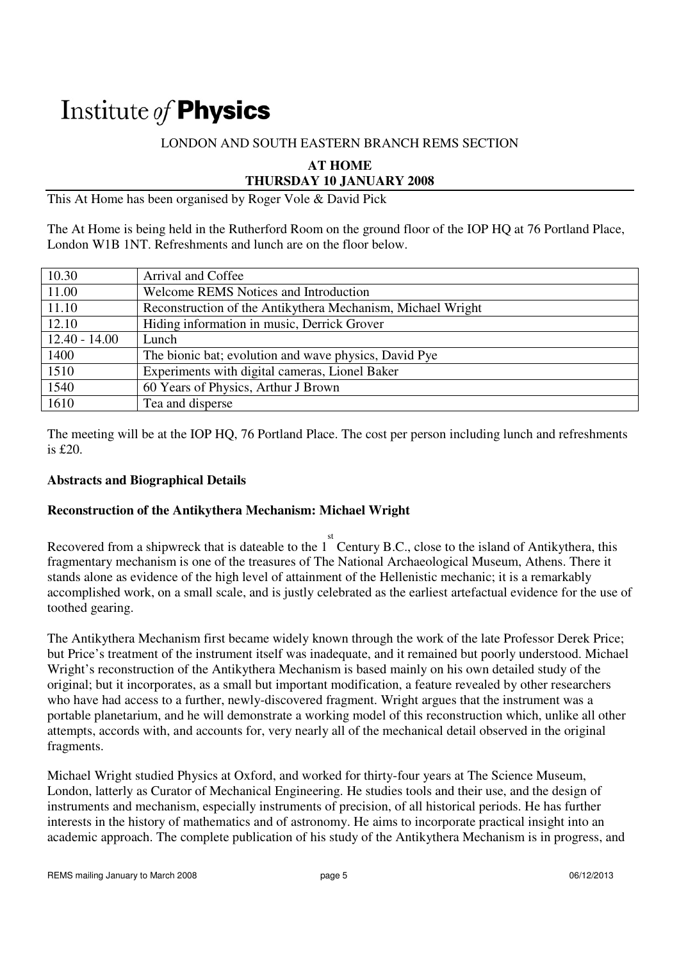# Institute of **Physics**

#### LONDON AND SOUTH EASTERN BRANCH REMS SECTION

**AT HOME** 

**THURSDAY 10 JANUARY 2008** 

This At Home has been organised by Roger Vole & David Pick

The At Home is being held in the Rutherford Room on the ground floor of the IOP HQ at 76 Portland Place, London W1B 1NT. Refreshments and lunch are on the floor below.

| 10.30           | Arrival and Coffee                                          |
|-----------------|-------------------------------------------------------------|
| 11.00           | <b>Welcome REMS Notices and Introduction</b>                |
| 11.10           | Reconstruction of the Antikythera Mechanism, Michael Wright |
| 12.10           | Hiding information in music, Derrick Grover                 |
| $12.40 - 14.00$ | Lunch                                                       |
| 1400            | The bionic bat; evolution and wave physics, David Pye       |
| 1510            | Experiments with digital cameras, Lionel Baker              |
| 1540            | 60 Years of Physics, Arthur J Brown                         |
| 1610            | Tea and disperse                                            |

The meeting will be at the IOP HQ, 76 Portland Place. The cost per person including lunch and refreshments is £20.

#### **Abstracts and Biographical Details**

### **Reconstruction of the Antikythera Mechanism: Michael Wright**

Recovered from a shipwreck that is dateable to the  $1^{st}$  Century B.C., close to the island of Antikythera, this fragmentary mechanism is one of the treasures of The National Archaeological Museum, Athens. There it stands alone as evidence of the high level of attainment of the Hellenistic mechanic; it is a remarkably accomplished work, on a small scale, and is justly celebrated as the earliest artefactual evidence for the use of toothed gearing.

The Antikythera Mechanism first became widely known through the work of the late Professor Derek Price; but Price's treatment of the instrument itself was inadequate, and it remained but poorly understood. Michael Wright's reconstruction of the Antikythera Mechanism is based mainly on his own detailed study of the original; but it incorporates, as a small but important modification, a feature revealed by other researchers who have had access to a further, newly-discovered fragment. Wright argues that the instrument was a portable planetarium, and he will demonstrate a working model of this reconstruction which, unlike all other attempts, accords with, and accounts for, very nearly all of the mechanical detail observed in the original fragments.

Michael Wright studied Physics at Oxford, and worked for thirty-four years at The Science Museum, London, latterly as Curator of Mechanical Engineering. He studies tools and their use, and the design of instruments and mechanism, especially instruments of precision, of all historical periods. He has further interests in the history of mathematics and of astronomy. He aims to incorporate practical insight into an academic approach. The complete publication of his study of the Antikythera Mechanism is in progress, and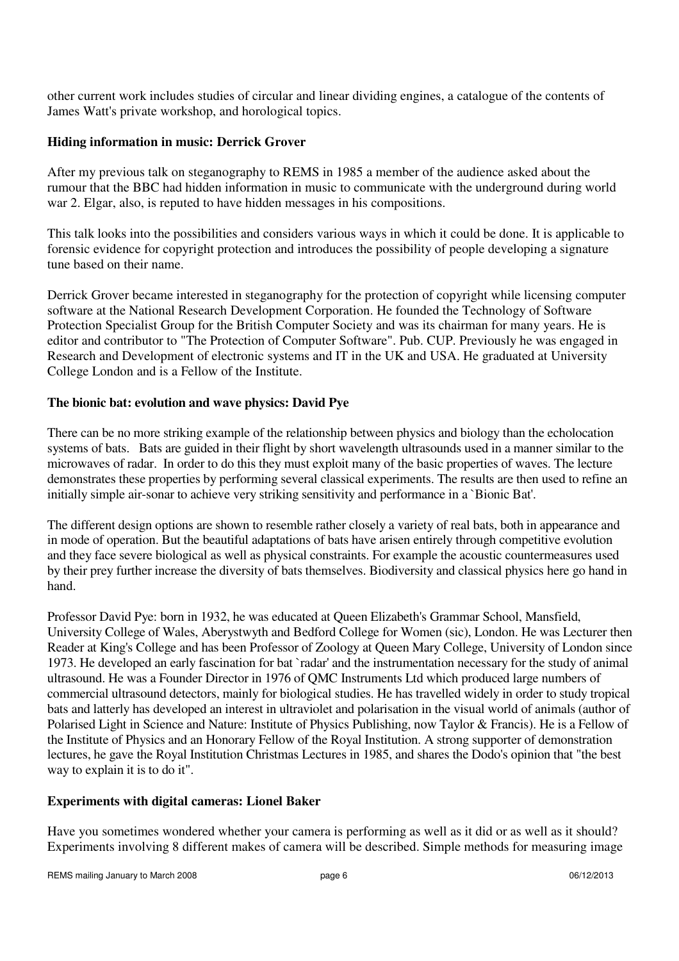other current work includes studies of circular and linear dividing engines, a catalogue of the contents of James Watt's private workshop, and horological topics.

#### **Hiding information in music: Derrick Grover**

After my previous talk on steganography to REMS in 1985 a member of the audience asked about the rumour that the BBC had hidden information in music to communicate with the underground during world war 2. Elgar, also, is reputed to have hidden messages in his compositions.

This talk looks into the possibilities and considers various ways in which it could be done. It is applicable to forensic evidence for copyright protection and introduces the possibility of people developing a signature tune based on their name.

Derrick Grover became interested in steganography for the protection of copyright while licensing computer software at the National Research Development Corporation. He founded the Technology of Software Protection Specialist Group for the British Computer Society and was its chairman for many years. He is editor and contributor to "The Protection of Computer Software". Pub. CUP. Previously he was engaged in Research and Development of electronic systems and IT in the UK and USA. He graduated at University College London and is a Fellow of the Institute.

### **The bionic bat: evolution and wave physics: David Pye**

There can be no more striking example of the relationship between physics and biology than the echolocation systems of bats. Bats are guided in their flight by short wavelength ultrasounds used in a manner similar to the microwaves of radar. In order to do this they must exploit many of the basic properties of waves. The lecture demonstrates these properties by performing several classical experiments. The results are then used to refine an initially simple air-sonar to achieve very striking sensitivity and performance in a `Bionic Bat'.

The different design options are shown to resemble rather closely a variety of real bats, both in appearance and in mode of operation. But the beautiful adaptations of bats have arisen entirely through competitive evolution and they face severe biological as well as physical constraints. For example the acoustic countermeasures used by their prey further increase the diversity of bats themselves. Biodiversity and classical physics here go hand in hand.

Professor David Pye: born in 1932, he was educated at Queen Elizabeth's Grammar School, Mansfield, University College of Wales, Aberystwyth and Bedford College for Women (sic), London. He was Lecturer then Reader at King's College and has been Professor of Zoology at Queen Mary College, University of London since 1973. He developed an early fascination for bat `radar' and the instrumentation necessary for the study of animal ultrasound. He was a Founder Director in 1976 of QMC Instruments Ltd which produced large numbers of commercial ultrasound detectors, mainly for biological studies. He has travelled widely in order to study tropical bats and latterly has developed an interest in ultraviolet and polarisation in the visual world of animals (author of Polarised Light in Science and Nature: Institute of Physics Publishing, now Taylor & Francis). He is a Fellow of the Institute of Physics and an Honorary Fellow of the Royal Institution. A strong supporter of demonstration lectures, he gave the Royal Institution Christmas Lectures in 1985, and shares the Dodo's opinion that "the best way to explain it is to do it".

### **Experiments with digital cameras: Lionel Baker**

Have you sometimes wondered whether your camera is performing as well as it did or as well as it should? Experiments involving 8 different makes of camera will be described. Simple methods for measuring image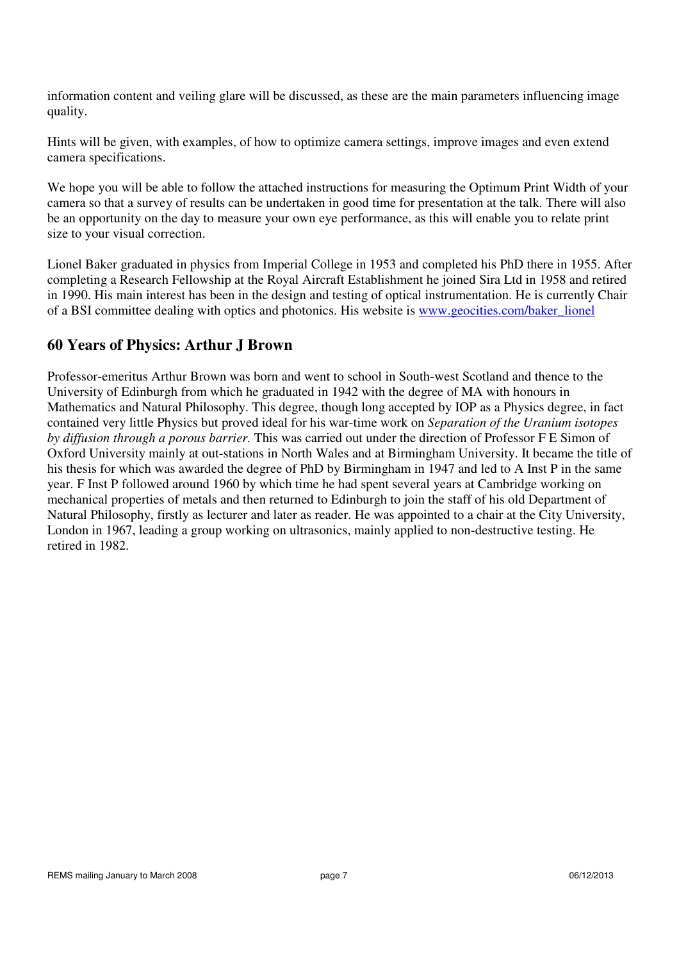information content and veiling glare will be discussed, as these are the main parameters influencing image quality.

Hints will be given, with examples, of how to optimize camera settings, improve images and even extend camera specifications.

We hope you will be able to follow the attached instructions for measuring the Optimum Print Width of your camera so that a survey of results can be undertaken in good time for presentation at the talk. There will also be an opportunity on the day to measure your own eye performance, as this will enable you to relate print size to your visual correction.

Lionel Baker graduated in physics from Imperial College in 1953 and completed his PhD there in 1955. After completing a Research Fellowship at the Royal Aircraft Establishment he joined Sira Ltd in 1958 and retired in 1990. His main interest has been in the design and testing of optical instrumentation. He is currently Chair of a BSI committee dealing with optics and photonics. His website is www.geocities.com/baker\_lionel

## **60 Years of Physics: Arthur J Brown**

Professor-emeritus Arthur Brown was born and went to school in South-west Scotland and thence to the University of Edinburgh from which he graduated in 1942 with the degree of MA with honours in Mathematics and Natural Philosophy. This degree, though long accepted by IOP as a Physics degree, in fact contained very little Physics but proved ideal for his war-time work on *Separation of the Uranium isotopes by diffusion through a porous barrier.* This was carried out under the direction of Professor F E Simon of Oxford University mainly at out-stations in North Wales and at Birmingham University. It became the title of his thesis for which was awarded the degree of PhD by Birmingham in 1947 and led to A Inst P in the same year. F Inst P followed around 1960 by which time he had spent several years at Cambridge working on mechanical properties of metals and then returned to Edinburgh to join the staff of his old Department of Natural Philosophy, firstly as lecturer and later as reader. He was appointed to a chair at the City University, London in 1967, leading a group working on ultrasonics, mainly applied to non-destructive testing. He retired in 1982.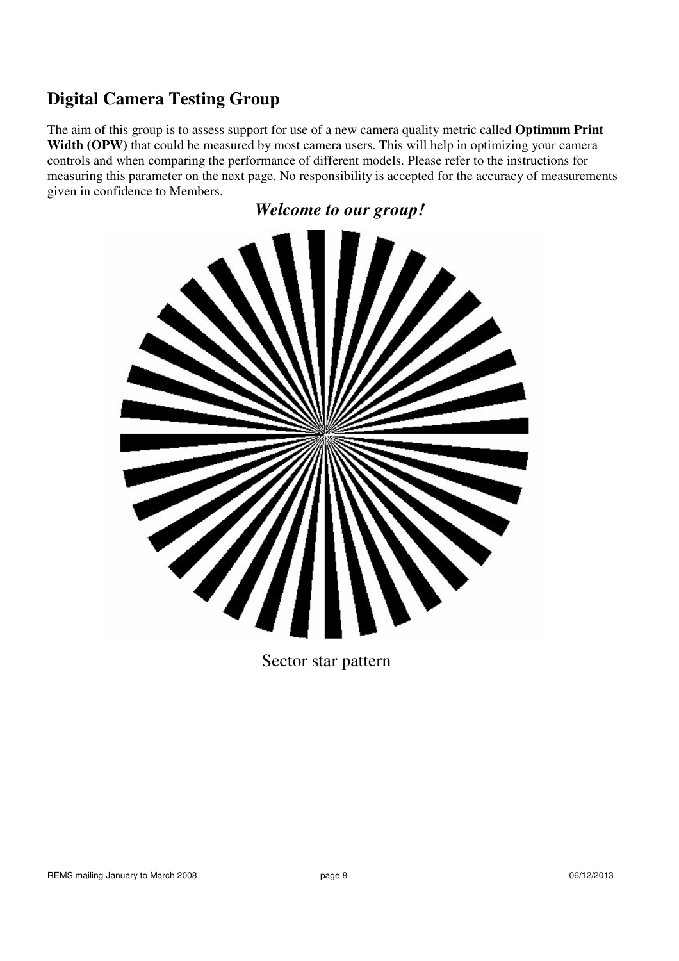# **Digital Camera Testing Group**

The aim of this group is to assess support for use of a new camera quality metric called **Optimum Print**  Width (OPW) that could be measured by most camera users. This will help in optimizing your camera controls and when comparing the performance of different models. Please refer to the instructions for measuring this parameter on the next page. No responsibility is accepted for the accuracy of measurements given in confidence to Members.

*Welcome to our group!* 



Sector star pattern